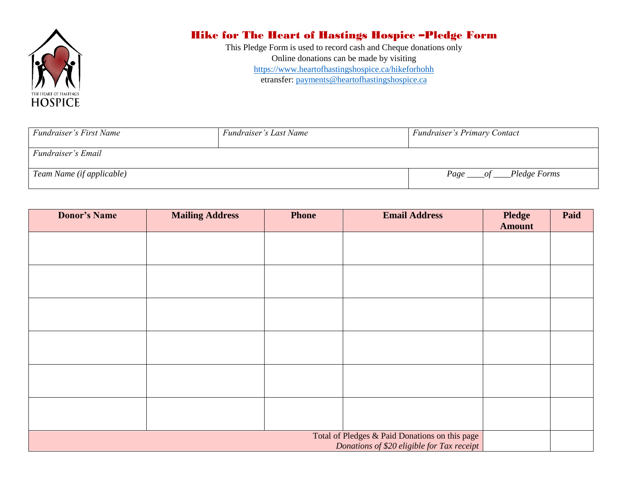

## Hike for The Heart of Hastings Hospice –Pledge Form

This Pledge Form is used to record cash and Cheque donations only Online donations can be made by visiting <https://www.heartofhastingshospice.ca/hikeforhohh> etransfer: [payments@heartofhastingshospice.ca](mailto:payments@heartofhastingshospice.ca)

| Fundraiser's First Name   | Fundraiser's Last Name | <b>Fundraiser's Primary Contact</b> |  |
|---------------------------|------------------------|-------------------------------------|--|
| Fundraiser's Email        |                        |                                     |  |
| Team Name (if applicable) |                        | Page _____of ____Pledge Forms       |  |

| <b>Donor's Name</b> | <b>Mailing Address</b> | <b>Phone</b> | <b>Email Address</b>                                                                         | <b>Pledge</b><br><b>Amount</b> | Paid |
|---------------------|------------------------|--------------|----------------------------------------------------------------------------------------------|--------------------------------|------|
|                     |                        |              |                                                                                              |                                |      |
|                     |                        |              |                                                                                              |                                |      |
|                     |                        |              |                                                                                              |                                |      |
|                     |                        |              |                                                                                              |                                |      |
|                     |                        |              |                                                                                              |                                |      |
|                     |                        |              |                                                                                              |                                |      |
|                     |                        |              |                                                                                              |                                |      |
|                     |                        |              |                                                                                              |                                |      |
|                     |                        |              |                                                                                              |                                |      |
|                     |                        |              |                                                                                              |                                |      |
|                     |                        |              |                                                                                              |                                |      |
|                     |                        |              |                                                                                              |                                |      |
|                     |                        |              | Total of Pledges & Paid Donations on this page<br>Donations of \$20 eligible for Tax receipt |                                |      |